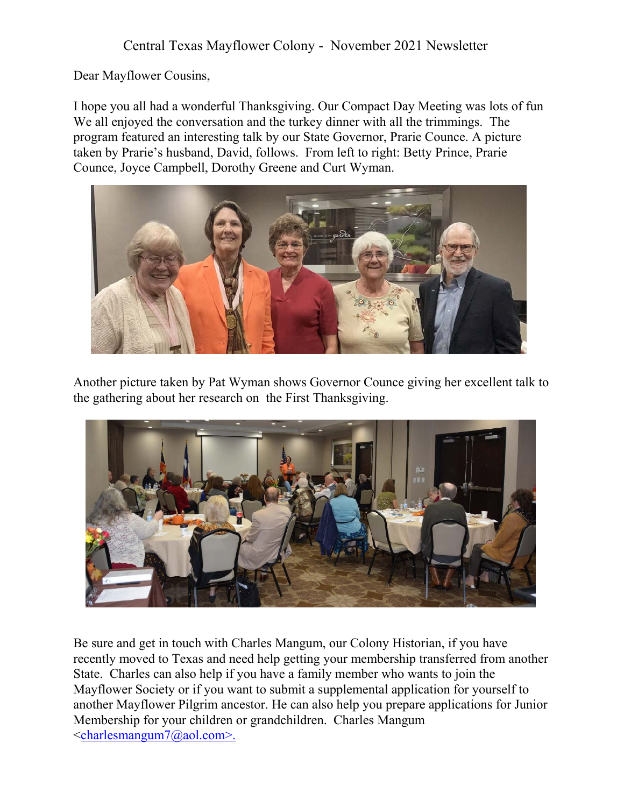Dear Mayflower Cousins,

I hope you all had a wonderful Thanksgiving. Our Compact Day Meeting was lots of fun We all enjoyed the conversation and the turkey dinner with all the trimmings. The program featured an interesting talk by our State Governor, Prarie Counce. A picture taken by Prarie's husband, David, follows. From left to right: Betty Prince, Prarie Counce, Joyce Campbell, Dorothy Greene and Curt Wyman.



Another picture taken by Pat Wyman shows Governor Counce giving her excellent talk to the gathering about her research on the First Thanksgiving.



Be sure and get in touch with Charles Mangum, our Colony Historian, if you have recently moved to Texas and need help getting your membership transferred from another State. Charles can also help if you have a family member who wants to join the Mayflower Society or if you want to submit a supplemental application for yourself to another Mayflower Pilgrim ancestor. He can also help you prepare applications for Junior Membership for your children or grandchildren. Charles Mangum <charlesmangum7@aol.com>.